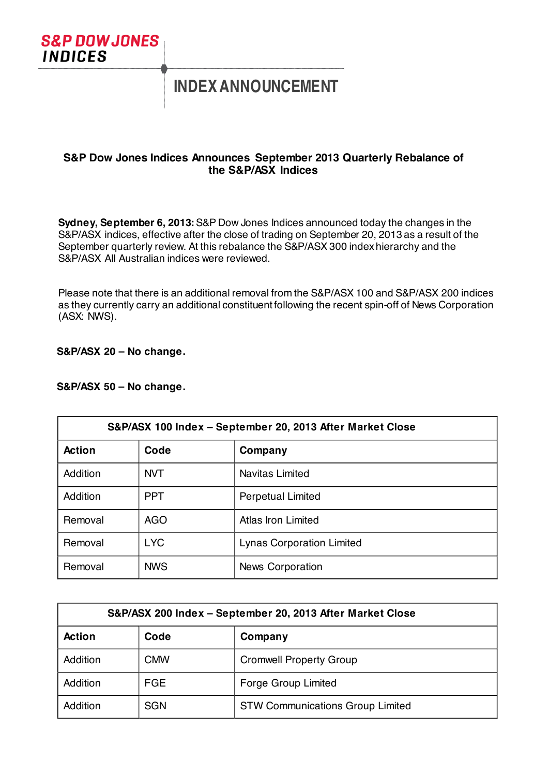

# **INDEX ANNOUNCEMENT**

# **S&P Dow Jones Indices Announces September 2013 Quarterly Rebalance of the S&P/ASX Indices**

**Sydney, September 6, 2013:**S&P Dow Jones Indices announced today the changes in the S&P/ASX indices, effective after the close of trading on September 20, 2013 as a result of the September quarterly review. At this rebalance the S&P/ASX 300 index hierarchy and the S&P/ASX All Australian indices were reviewed.

Please note that there is an additional removal from the S&P/ASX 100 and S&P/ASX 200 indices as they currently carry an additional constituent following the recent spin-off of News Corporation (ASX: NWS).

# **S&P/ASX 20 – No change.**

#### **S&P/ASX 50 – No change.**

| S&P/ASX 100 Index - September 20, 2013 After Market Close |            |                                  |
|-----------------------------------------------------------|------------|----------------------------------|
| <b>Action</b>                                             | Code       | Company                          |
| Addition                                                  | <b>NVT</b> | Navitas Limited                  |
| Addition                                                  | <b>PPT</b> | <b>Perpetual Limited</b>         |
| Removal                                                   | <b>AGO</b> | Atlas Iron Limited               |
| Removal                                                   | <b>LYC</b> | <b>Lynas Corporation Limited</b> |
| Removal                                                   | <b>NWS</b> | <b>News Corporation</b>          |

| S&P/ASX 200 Index - September 20, 2013 After Market Close |            |                                         |
|-----------------------------------------------------------|------------|-----------------------------------------|
| <b>Action</b>                                             | Code       | Company                                 |
| Addition                                                  | <b>CMW</b> | <b>Cromwell Property Group</b>          |
| Addition                                                  | <b>FGE</b> | <b>Forge Group Limited</b>              |
| Addition                                                  | <b>SGN</b> | <b>STW Communications Group Limited</b> |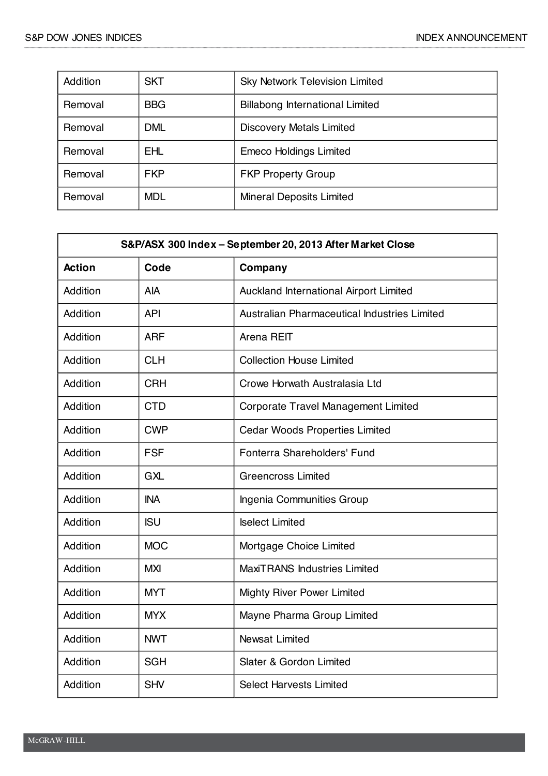| Addition | <b>SKT</b> | <b>Sky Network Television Limited</b>  |
|----------|------------|----------------------------------------|
| Removal  | <b>BBG</b> | <b>Billabong International Limited</b> |
| Removal  | <b>DML</b> | <b>Discovery Metals Limited</b>        |
| Removal  | <b>EHL</b> | <b>Emeco Holdings Limited</b>          |
| Removal  | <b>FKP</b> | <b>FKP Property Group</b>              |
| Removal  | <b>MDL</b> | <b>Mineral Deposits Limited</b>        |

| S&P/ASX 300 Index - September 20, 2013 After Market Close |            |                                              |
|-----------------------------------------------------------|------------|----------------------------------------------|
| <b>Action</b>                                             | Code       | Company                                      |
| Addition                                                  | <b>AIA</b> | Auckland International Airport Limited       |
| Addition                                                  | <b>API</b> | Australian Pharmaceutical Industries Limited |
| Addition                                                  | <b>ARF</b> | Arena REIT                                   |
| Addition                                                  | <b>CLH</b> | <b>Collection House Limited</b>              |
| Addition                                                  | <b>CRH</b> | Crowe Horwath Australasia Ltd                |
| Addition                                                  | <b>CTD</b> | <b>Corporate Travel Management Limited</b>   |
| Addition                                                  | <b>CWP</b> | <b>Cedar Woods Properties Limited</b>        |
| Addition                                                  | <b>FSF</b> | Fonterra Shareholders' Fund                  |
| Addition                                                  | <b>GXL</b> | <b>Greencross Limited</b>                    |
| Addition                                                  | <b>INA</b> | Ingenia Communities Group                    |
| Addition                                                  | <b>ISU</b> | <b>Iselect Limited</b>                       |
| Addition                                                  | <b>MOC</b> | Mortgage Choice Limited                      |
| Addition                                                  | <b>MXI</b> | <b>MaxiTRANS Industries Limited</b>          |
| Addition                                                  | <b>MYT</b> | <b>Mighty River Power Limited</b>            |
| Addition                                                  | <b>MYX</b> | Mayne Pharma Group Limited                   |
| Addition                                                  | <b>NWT</b> | <b>Newsat Limited</b>                        |
| Addition                                                  | <b>SGH</b> | Slater & Gordon Limited                      |
| Addition                                                  | <b>SHV</b> | <b>Select Harvests Limited</b>               |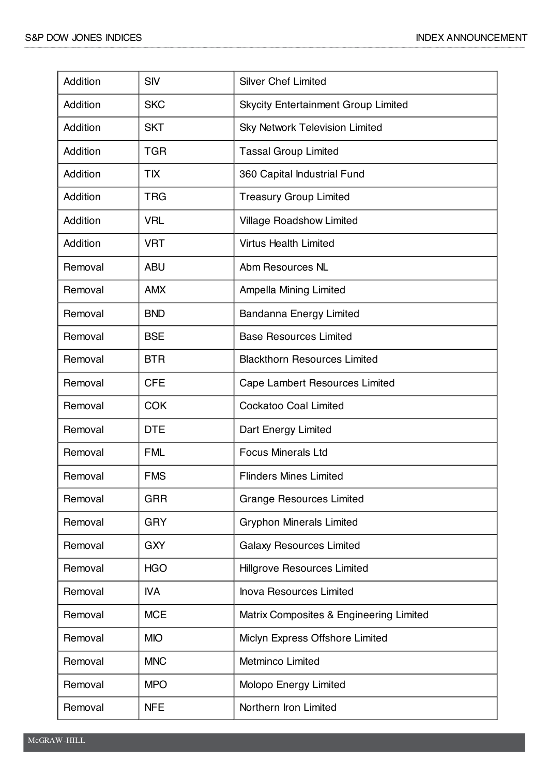| Addition        | <b>SIV</b> | <b>Silver Chef Limited</b>                 |
|-----------------|------------|--------------------------------------------|
| <b>Addition</b> | <b>SKC</b> | <b>Skycity Entertainment Group Limited</b> |
| Addition        | <b>SKT</b> | <b>Sky Network Television Limited</b>      |
| Addition        | <b>TGR</b> | <b>Tassal Group Limited</b>                |
| Addition        | <b>TIX</b> | 360 Capital Industrial Fund                |
| <b>Addition</b> | <b>TRG</b> | <b>Treasury Group Limited</b>              |
| Addition        | <b>VRL</b> | <b>Village Roadshow Limited</b>            |
| Addition        | <b>VRT</b> | <b>Virtus Health Limited</b>               |
| Removal         | <b>ABU</b> | Abm Resources NL                           |
| Removal         | <b>AMX</b> | Ampella Mining Limited                     |
| Removal         | <b>BND</b> | Bandanna Energy Limited                    |
| Removal         | <b>BSE</b> | <b>Base Resources Limited</b>              |
| Removal         | <b>BTR</b> | <b>Blackthorn Resources Limited</b>        |
| Removal         | <b>CFE</b> | Cape Lambert Resources Limited             |
| Removal         | <b>COK</b> | <b>Cockatoo Coal Limited</b>               |
| Removal         | <b>DTE</b> | Dart Energy Limited                        |
| Removal         | <b>FML</b> | <b>Focus Minerals Ltd</b>                  |
| Removal         | <b>FMS</b> | <b>Flinders Mines Limited</b>              |
| Removal         | <b>GRR</b> | <b>Grange Resources Limited</b>            |
| Removal         | <b>GRY</b> | <b>Gryphon Minerals Limited</b>            |
| Removal         | <b>GXY</b> | <b>Galaxy Resources Limited</b>            |
| Removal         | <b>HGO</b> | <b>Hillgrove Resources Limited</b>         |
| Removal         | <b>IVA</b> | <b>Inova Resources Limited</b>             |
| Removal         | <b>MCE</b> | Matrix Composites & Engineering Limited    |
| Removal         | <b>MIO</b> | Miclyn Express Offshore Limited            |
| Removal         | <b>MNC</b> | <b>Metminco Limited</b>                    |
| Removal         | <b>MPO</b> | Molopo Energy Limited                      |
| Removal         | <b>NFE</b> | Northern Iron Limited                      |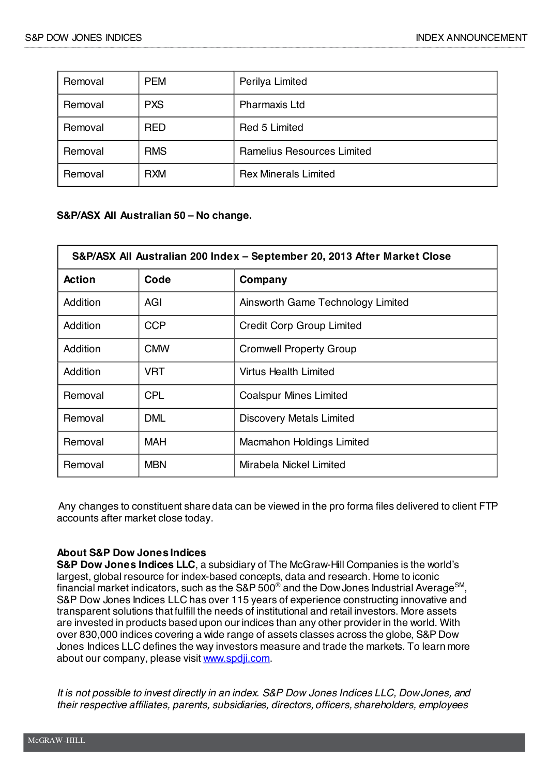| Removal | <b>PEM</b> | Perilya Limited                   |
|---------|------------|-----------------------------------|
| Removal | <b>PXS</b> | <b>Pharmaxis Ltd</b>              |
| Removal | <b>RED</b> | Red 5 Limited                     |
| Removal | <b>RMS</b> | <b>Ramelius Resources Limited</b> |
| Removal | <b>RXM</b> | <b>Rex Minerals Limited</b>       |

# **S&P/ASX All Australian 50 – No change.**

| S&P/ASX All Australian 200 Index - September 20, 2013 After Market Close |            |                                   |
|--------------------------------------------------------------------------|------------|-----------------------------------|
| <b>Action</b>                                                            | Code       | Company                           |
| Addition                                                                 | AGI        | Ainsworth Game Technology Limited |
| Addition                                                                 | <b>CCP</b> | <b>Credit Corp Group Limited</b>  |
| Addition                                                                 | <b>CMW</b> | <b>Cromwell Property Group</b>    |
| Addition                                                                 | <b>VRT</b> | Virtus Health Limited             |
| Removal                                                                  | <b>CPL</b> | <b>Coalspur Mines Limited</b>     |
| Removal                                                                  | <b>DML</b> | <b>Discovery Metals Limited</b>   |
| Removal                                                                  | <b>MAH</b> | Macmahon Holdings Limited         |
| Removal                                                                  | <b>MBN</b> | Mirabela Nickel Limited           |

Any changes to constituent share data can be viewed in the pro forma files delivered to client FTP accounts after market close today.

#### **About S&P Dow Jones Indices**

**S&P Dow Jones Indices LLC**, a subsidiary of The McGraw-Hill Companies is the world's largest, global resource for index-based concepts, data and research. Home to iconic financial market indicators, such as the S&P 500<sup>®</sup> and the Dow Jones Industrial Average<sup>SM</sup>. S&P Dow Jones Indices LLC has over 115 years of experience constructing innovative and transparent solutions that fulfill the needs of institutional and retail investors. More assets are invested in products based upon our indices than any other provider in the world. With over 830,000 indices covering a wide range of assets classes across the globe, S&P Dow Jones Indices LLC defines the way investors measure and trade the markets. To learn more about our company, please visit www.spdji.com.

*It is not possible to invest directly in an index. S&P Dow Jones Indices LLC, DowJones, and their respective affiliates, parents, subsidiaries, directors, officers, shareholders, employees*